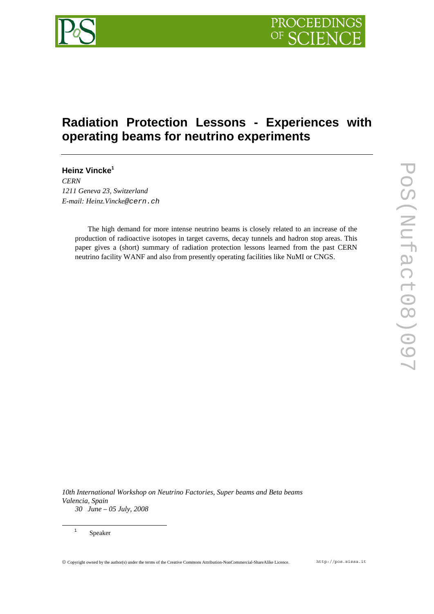

# **Radiation Protection Lessons - Experiences with operating beams for neutrino experiments**

**Heinz Vincke1** *CERN 1211 Geneva 23, Switzerland E-mail: Heinz.Vincke@cern.ch* 

> The high demand for more intense neutrino beams is closely related to an increase of the production of radioactive isotopes in target caverns, decay tunnels and hadron stop areas. This paper gives a (short) summary of radiation protection lessons learned from the past CERN neutrino facility WANF and also from presently operating facilities like NuMI or CNGS.

*10th International Workshop on Neutrino Factories, Super beams and Beta beams Valencia, Spain 30 June – 05 July, 2008*

Speaker

<sup>1</sup>

© Copyright owned by the author(s) under the terms of the Creative Commons Attribution-NonCommercial-ShareAlike Licence. http://pos.sissa.it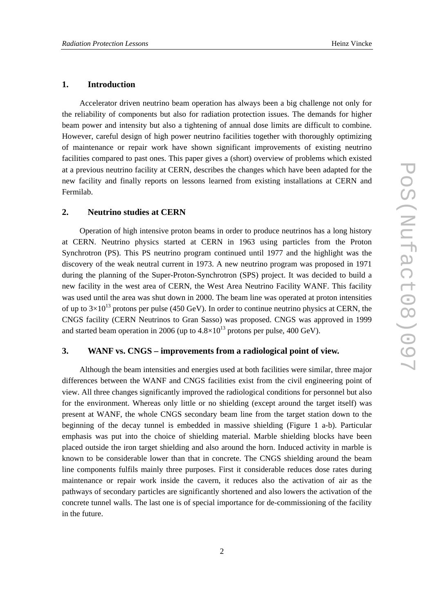#### **1. Introduction**

Accelerator driven neutrino beam operation has always been a big challenge not only for the reliability of components but also for radiation protection issues. The demands for higher beam power and intensity but also a tightening of annual dose limits are difficult to combine. However, careful design of high power neutrino facilities together with thoroughly optimizing of maintenance or repair work have shown significant improvements of existing neutrino facilities compared to past ones. This paper gives a (short) overview of problems which existed at a previous neutrino facility at CERN, describes the changes which have been adapted for the new facility and finally reports on lessons learned from existing installations at CERN and Fermilab.

# **2. Neutrino studies at CERN**

Operation of high intensive proton beams in order to produce neutrinos has a long history at CERN. Neutrino physics started at CERN in 1963 using particles from the Proton Synchrotron (PS). This PS neutrino program continued until 1977 and the highlight was the discovery of the weak neutral current in 1973. A new neutrino program was proposed in 1971 during the planning of the Super-Proton-Synchrotron (SPS) project. It was decided to build a new facility in the west area of CERN, the West Area Neutrino Facility WANF. This facility was used until the area was shut down in 2000. The beam line was operated at proton intensities of up to  $3\times10^{13}$  protons per pulse (450 GeV). In order to continue neutrino physics at CERN, the CNGS facility (CERN Neutrinos to Gran Sasso) was proposed. CNGS was approved in 1999 and started beam operation in 2006 (up to  $4.8 \times 10^{13}$  protons per pulse, 400 GeV).

# **3. WANF vs. CNGS – improvements from a radiological point of view.**

Although the beam intensities and energies used at both facilities were similar, three major differences between the WANF and CNGS facilities exist from the civil engineering point of view. All three changes significantly improved the radiological conditions for personnel but also for the environment. Whereas only little or no shielding (except around the target itself) was present at WANF, the whole CNGS secondary beam line from the target station down to the beginning of the decay tunnel is embedded in massive shielding (Figure 1 a-b). Particular emphasis was put into the choice of shielding material. Marble shielding blocks have been placed outside the iron target shielding and also around the horn. Induced activity in marble is known to be considerable lower than that in concrete. The CNGS shielding around the beam line components fulfils mainly three purposes. First it considerable reduces dose rates during maintenance or repair work inside the cavern, it reduces also the activation of air as the pathways of secondary particles are significantly shortened and also lowers the activation of the concrete tunnel walls. The last one is of special importance for de-commissioning of the facility in the future.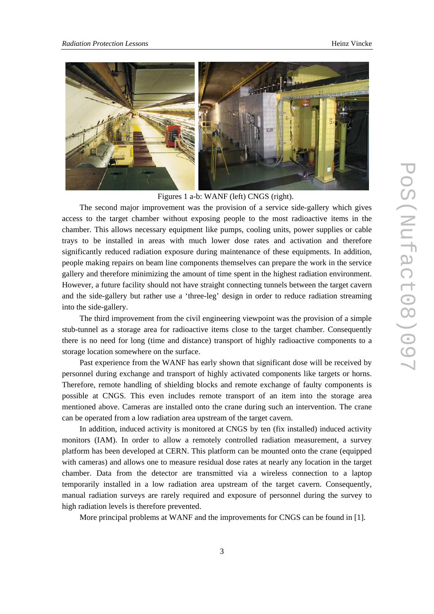

Figures 1 a-b: WANF (left) CNGS (right).

The second major improvement was the provision of a service side-gallery which gives access to the target chamber without exposing people to the most radioactive items in the chamber. This allows necessary equipment like pumps, cooling units, power supplies or cable trays to be installed in areas with much lower dose rates and activation and therefore significantly reduced radiation exposure during maintenance of these equipments. In addition, people making repairs on beam line components themselves can prepare the work in the service gallery and therefore minimizing the amount of time spent in the highest radiation environment. However, a future facility should not have straight connecting tunnels between the target cavern and the side-gallery but rather use a 'three-leg' design in order to reduce radiation streaming into the side-gallery.

The third improvement from the civil engineering viewpoint was the provision of a simple stub-tunnel as a storage area for radioactive items close to the target chamber. Consequently there is no need for long (time and distance) transport of highly radioactive components to a storage location somewhere on the surface.

Past experience from the WANF has early shown that significant dose will be received by personnel during exchange and transport of highly activated components like targets or horns. Therefore, remote handling of shielding blocks and remote exchange of faulty components is possible at CNGS. This even includes remote transport of an item into the storage area mentioned above. Cameras are installed onto the crane during such an intervention. The crane can be operated from a low radiation area upstream of the target cavern.

In addition, induced activity is monitored at CNGS by ten (fix installed) induced activity monitors (IAM). In order to allow a remotely controlled radiation measurement, a survey platform has been developed at CERN. This platform can be mounted onto the crane (equipped with cameras) and allows one to measure residual dose rates at nearly any location in the target chamber. Data from the detector are transmitted via a wireless connection to a laptop temporarily installed in a low radiation area upstream of the target cavern. Consequently, manual radiation surveys are rarely required and exposure of personnel during the survey to high radiation levels is therefore prevented.

More principal problems at WANF and the improvements for CNGS can be found in [1].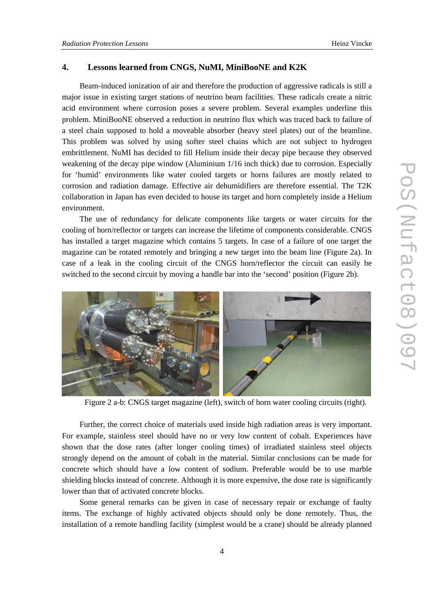### **4. Lessons learned from CNGS, NuMI, MiniBooNE and K2K**

Beam-induced ionization of air and therefore the production of aggressive radicals is still a major issue in existing target stations of neutrino beam facilities. These radicals create a nitric acid environment where corrosion poses a severe problem. Several examples underline this problem. MiniBooNE observed a reduction in neutrino flux which was traced back to failure of a steel chain supposed to hold a moveable absorber (heavy steel plates) out of the beamline. This problem was solved by using softer steel chains which are not subject to hydrogen embrittlement. NuMI has decided to fill Helium inside their decay pipe because they observed weakening of the decay pipe window (Aluminium 1/16 inch thick) due to corrosion. Especially for 'humid' environments like water cooled targets or horns failures are mostly related to corrosion and radiation damage. Effective air dehumidifiers are therefore essential. The T2K collaboration in Japan has even decided to house its target and horn completely inside a Helium environment.

The use of redundancy for delicate components like targets or water circuits for the cooling of horn/reflector or targets can increase the lifetime of components considerable. CNGS has installed a target magazine which contains 5 targets. In case of a failure of one target the magazine can be rotated remotely and bringing a new target into the beam line (Figure 2a). In case of a leak in the cooling circuit of the CNGS horn/reflector the circuit can easily be switched to the second circuit by moving a handle bar into the 'second' position (Figure 2b).



Figure 2 a-b: CNGS target magazine (left), switch of horn water cooling circuits (right).

Further, the correct choice of materials used inside high radiation areas is very important. For example, stainless steel should have no or very low content of cobalt. Experiences have shown that the dose rates (after longer cooling times) of irradiated stainless steel objects strongly depend on the amount of cobalt in the material. Similar conclusions can be made for concrete which should have a low content of sodium. Preferable would be to use marble shielding blocks instead of concrete. Although it is more expensive, the dose rate is significantly lower than that of activated concrete blocks.

Some general remarks can be given in case of necessary repair or exchange of faulty items. The exchange of highly activated objects should only be done remotely. Thus, the installation of a remote handling facility (simplest would be a crane) should be already planned